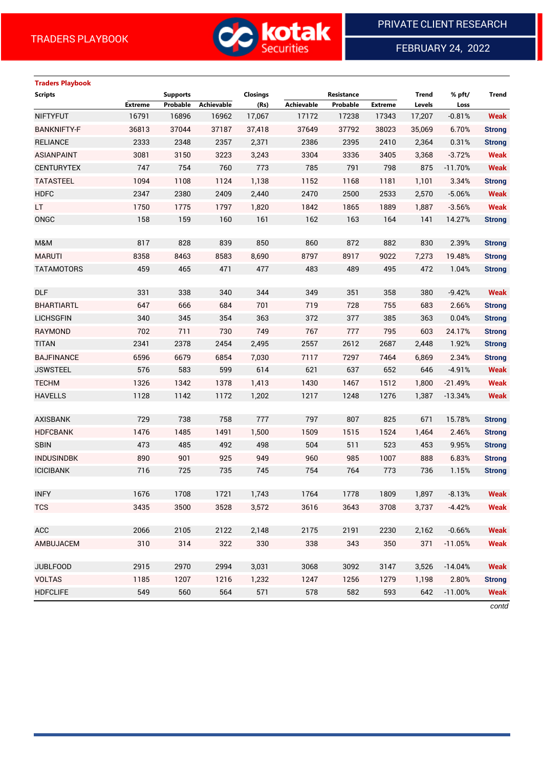

FEBRUARY 24, 2022

 $\overline{a}$ 

# **Traders Playbook**

| <b>Scripts</b>     |                | <b>Supports</b> |            | Closings |            | Resistance |                | <b>Trend</b> | % pft/    | <b>Trend</b>  |
|--------------------|----------------|-----------------|------------|----------|------------|------------|----------------|--------------|-----------|---------------|
|                    | <b>Extreme</b> | Probable        | Achievable | (Rs)     | Achievable | Probable   | <b>Extreme</b> | Levels       | Loss      |               |
| <b>NIFTYFUT</b>    | 16791          | 16896           | 16962      | 17,067   | 17172      | 17238      | 17343          | 17,207       | $-0.81%$  | <b>Weak</b>   |
| <b>BANKNIFTY-F</b> | 36813          | 37044           | 37187      | 37,418   | 37649      | 37792      | 38023          | 35,069       | 6.70%     | <b>Strong</b> |
| <b>RELIANCE</b>    | 2333           | 2348            | 2357       | 2,371    | 2386       | 2395       | 2410           | 2,364        | 0.31%     | <b>Strong</b> |
| <b>ASIANPAINT</b>  | 3081           | 3150            | 3223       | 3,243    | 3304       | 3336       | 3405           | 3,368        | $-3.72%$  | <b>Weak</b>   |
| <b>CENTURYTEX</b>  | 747            | 754             | 760        | 773      | 785        | 791        | 798            | 875          | $-11.70%$ | <b>Weak</b>   |
| <b>TATASTEEL</b>   | 1094           | 1108            | 1124       | 1,138    | 1152       | 1168       | 1181           | 1,101        | 3.34%     | <b>Strong</b> |
| <b>HDFC</b>        | 2347           | 2380            | 2409       | 2,440    | 2470       | 2500       | 2533           | 2,570        | $-5.06%$  | <b>Weak</b>   |
| LT.                | 1750           | 1775            | 1797       | 1,820    | 1842       | 1865       | 1889           | 1,887        | $-3.56%$  | <b>Weak</b>   |
| ONGC               | 158            | 159             | 160        | 161      | 162        | 163        | 164            | 141          | 14.27%    | <b>Strong</b> |
|                    |                |                 |            |          |            |            |                |              |           |               |
| M&M                | 817            | 828             | 839        | 850      | 860        | 872        | 882            | 830          | 2.39%     | <b>Strong</b> |
| <b>MARUTI</b>      | 8358           | 8463            | 8583       | 8,690    | 8797       | 8917       | 9022           | 7,273        | 19.48%    | <b>Strong</b> |
| <b>TATAMOTORS</b>  | 459            | 465             | 471        | 477      | 483        | 489        | 495            | 472          | 1.04%     | <b>Strong</b> |
|                    |                |                 |            |          |            |            |                |              |           |               |
| <b>DLF</b>         | 331            | 338             | 340        | 344      | 349        | 351        | 358            | 380          | $-9.42%$  | <b>Weak</b>   |
| <b>BHARTIARTL</b>  | 647            | 666             | 684        | 701      | 719        | 728        | 755            | 683          | 2.66%     | <b>Strong</b> |
| <b>LICHSGFIN</b>   | 340            | 345             | 354        | 363      | 372        | 377        | 385            | 363          | 0.04%     | <b>Strong</b> |
| <b>RAYMOND</b>     | 702            | 711             | 730        | 749      | 767        | 777        | 795            | 603          | 24.17%    | <b>Strong</b> |
| <b>TITAN</b>       | 2341           | 2378            | 2454       | 2,495    | 2557       | 2612       | 2687           | 2,448        | 1.92%     | <b>Strong</b> |
| <b>BAJFINANCE</b>  | 6596           | 6679            | 6854       | 7,030    | 7117       | 7297       | 7464           | 6,869        | 2.34%     | <b>Strong</b> |
| <b>JSWSTEEL</b>    | 576            | 583             | 599        | 614      | 621        | 637        | 652            | 646          | $-4.91%$  | <b>Weak</b>   |
| <b>TECHM</b>       | 1326           | 1342            | 1378       | 1,413    | 1430       | 1467       | 1512           | 1,800        | $-21.49%$ | <b>Weak</b>   |
| <b>HAVELLS</b>     | 1128           | 1142            | 1172       | 1,202    | 1217       | 1248       | 1276           | 1,387        | $-13.34%$ | <b>Weak</b>   |
|                    |                |                 |            |          |            |            |                |              |           |               |
| <b>AXISBANK</b>    | 729            | 738             | 758        | 777      | 797        | 807        | 825            | 671          | 15.78%    | <b>Strong</b> |
| <b>HDFCBANK</b>    | 1476           | 1485            | 1491       | 1,500    | 1509       | 1515       | 1524           | 1,464        | 2.46%     | <b>Strong</b> |
| <b>SBIN</b>        | 473            | 485             | 492        | 498      | 504        | 511        | 523            | 453          | 9.95%     | <b>Strong</b> |
| <b>INDUSINDBK</b>  | 890            | 901             | 925        | 949      | 960        | 985        | 1007           | 888          | 6.83%     | <b>Strong</b> |
| <b>ICICIBANK</b>   | 716            | 725             | 735        | 745      | 754        | 764        | 773            | 736          | 1.15%     | <b>Strong</b> |
|                    |                |                 |            |          |            |            |                |              |           |               |
| <b>INFY</b>        | 1676           | 1708            | 1721       | 1,743    | 1764       | 1778       | 1809           | 1,897        | $-8.13%$  | <b>Weak</b>   |
| <b>TCS</b>         | 3435           | 3500            | 3528       | 3,572    | 3616       | 3643       | 3708           | 3,737        | $-4.42%$  | <b>Weak</b>   |
|                    |                |                 |            |          |            |            |                |              |           |               |
| ACC                | 2066           | 2105            | 2122       | 2,148    | 2175       | 2191       | 2230           | 2,162        | $-0.66%$  | <b>Weak</b>   |
| AMBUJACEM          | 310            | 314             | 322        | 330      | 338        | 343        | 350            | 371          | $-11.05%$ | <b>Weak</b>   |
| <b>JUBLFOOD</b>    | 2915           | 2970            | 2994       | 3,031    | 3068       | 3092       | 3147           | 3,526        | $-14.04%$ | <b>Weak</b>   |
| <b>VOLTAS</b>      | 1185           | 1207            | 1216       | 1,232    | 1247       | 1256       | 1279           | 1,198        | 2.80%     | <b>Strong</b> |
| <b>HDFCLIFE</b>    | 549            | 560             | 564        | 571      | 578        | 582        | 593            | 642          | $-11.00%$ | <b>Weak</b>   |
|                    |                |                 |            |          |            |            |                |              |           |               |

*contd*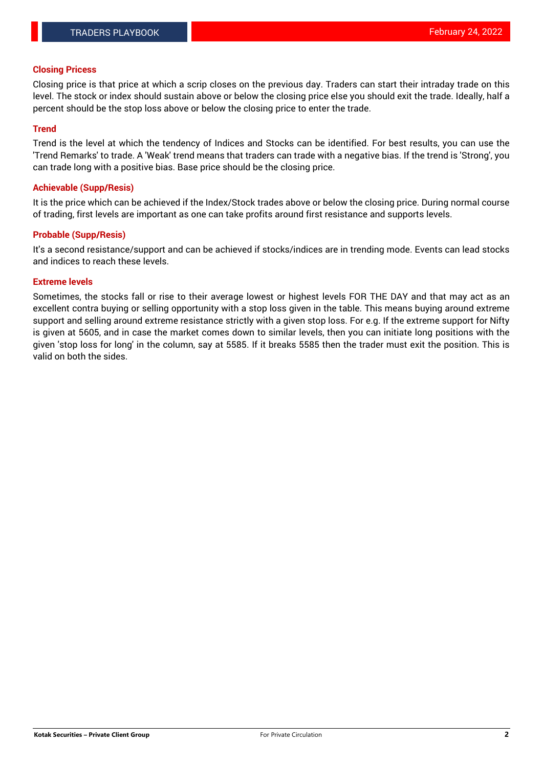## **Closing Pricess**

Closing price is that price at which a scrip closes on the previous day. Traders can start their intraday trade on this level. The stock or index should sustain above or below the closing price else you should exit the trade. Ideally, half a percent should be the stop loss above or below the closing price to enter the trade.

## **Trend**

Trend is the level at which the tendency of Indices and Stocks can be identified. For best results, you can use the 'Trend Remarks' to trade. A 'Weak' trend means that traders can trade with a negative bias. If the trend is 'Strong', you can trade long with a positive bias. Base price should be the closing price.

#### **Achievable (Supp/Resis)**

It is the price which can be achieved if the Index/Stock trades above or below the closing price. During normal course of trading, first levels are important as one can take profits around first resistance and supports levels.

## **Probable (Supp/Resis)**

It's a second resistance/support and can be achieved if stocks/indices are in trending mode. Events can lead stocks and indices to reach these levels.

#### **Extreme levels**

Sometimes, the stocks fall or rise to their average lowest or highest levels FOR THE DAY and that may act as an excellent contra buying or selling opportunity with a stop loss given in the table. This means buying around extreme support and selling around extreme resistance strictly with a given stop loss. For e.g. If the extreme support for Nifty is given at 5605, and in case the market comes down to similar levels, then you can initiate long positions with the given 'stop loss for long' in the column, say at 5585. If it breaks 5585 then the trader must exit the position. This is valid on both the sides.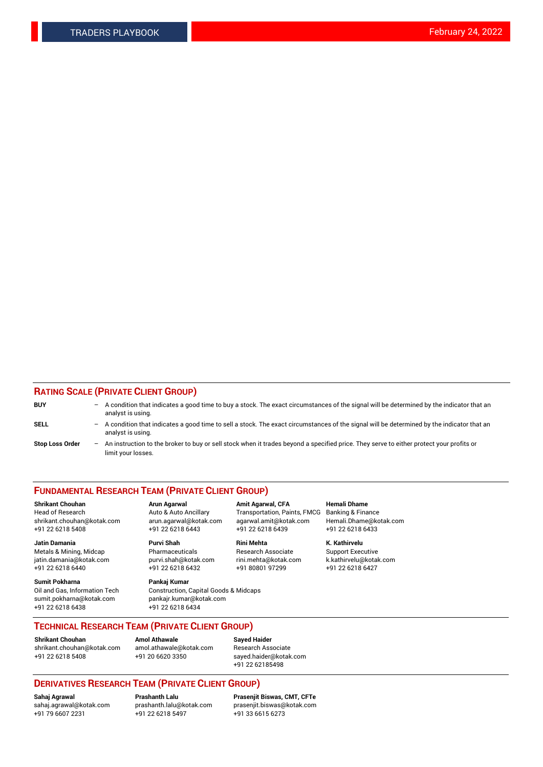## **RATING SCALE (PRIVATE CLIENT GROUP)**

| <b>BUY</b>             | $\overline{\phantom{0}}$ | A condition that indicates a good time to buy a stock. The exact circumstances of the signal will be determined by the indicator that an<br>analyst is using.  |
|------------------------|--------------------------|----------------------------------------------------------------------------------------------------------------------------------------------------------------|
| <b>SELL</b>            | $\overline{\phantom{0}}$ | A condition that indicates a good time to sell a stock. The exact circumstances of the signal will be determined by the indicator that an<br>analyst is using. |
| <b>Stop Loss Order</b> | $-$                      | An instruction to the broker to buy or sell stock when it trades beyond a specified price. They serve to either protect your profits or<br>limit your losses.  |

#### **FUNDAMENTAL RESEARCH TEAM (PRIVATE CLIENT GROUP)**

**Shrikant Chouhan Arun Agarwal Amit Agarwal, CFA Hemali Dhame** Head of Research Auto & Auto Ancillary Transportation, Paints, FMCG Banking & Finance shrikant.chouhan@kotak.com arun.agarwal@kotak.com agarwal.amit@kotak.com Hemali.Dhame@kotak.com

**Jatin Damania Purvi Shah Rini Mehta K. Kathirvelu** Metals & Mining, Midcap **Pharmaceuticals** Research Associate Support Executive jatin.damania@kotak.com [purvi.shah@kotak.com](mailto:purvi.shah@kotak.com) rini.mehta@kotak.com [k.kathirvelu@kotak.com](mailto:k.kathirvelu@kotak.com)  $+91$  22 6218 6440  $+91$  22 6218 6432

**Sumit Pokharna Pankaj Kumar** sumit.pokharna@kotak.com pankajr.kumar@kotak.com +91 22 6218 6438 +91 22 6218 6434

Oil and Gas, Information Tech Construction, Capital Goods & Midcaps

+91 22 6218 5408 +91 22 6218 6443 +91 22 6218 6439 +91 22 6218 6433

**TECHNICAL RESEARCH TEAM (PRIVATE CLIENT GROUP)**

**Shrikant Chouhan Amol Athawale Sayed Haider** [shrikant.chouhan@kotak.com](mailto:shrikant.chouhan@kotak.com) [amol.athawale@kotak.com](mailto:amol.athawale@kotak.com) Research Associate +91 22 6218 5408 +91 20 6620 3350 [sayed.haider@kotak.com](mailto:sayed.haider@kotak.com)

+91 22 62185498

# **DERIVATIVES RESEARCH TEAM (PRIVATE CLIENT GROUP)**

 $+91$  22 6218 5497

**Sahaj Agrawal Prashanth Lalu Prasenjit Biswas, CMT, CFTe** [sahaj.agrawal@kotak.com](mailto:sahaj.agrawal@kotak.com) [prashanth.lalu@kotak.com](mailto:prashanth.lalu@kotak.com) [prasenjit.biswas@kotak.com](mailto:prasenjit.biswas@kotak.com)